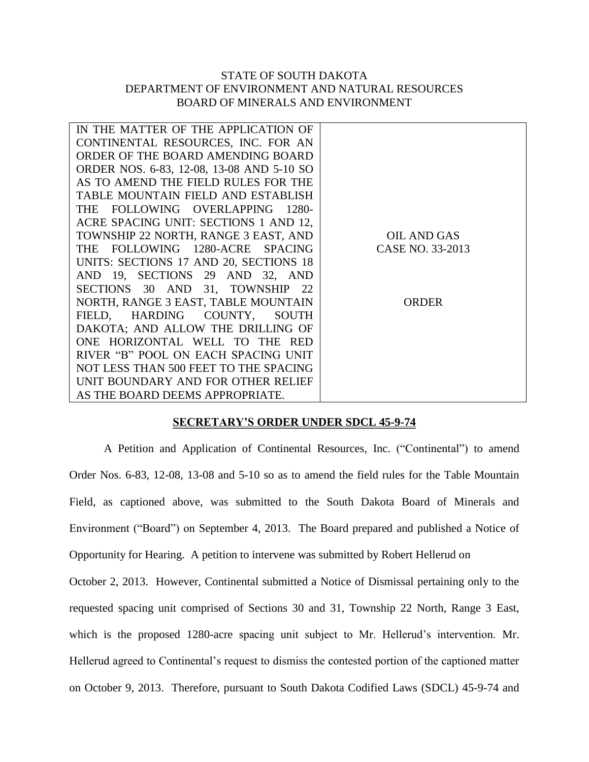## STATE OF SOUTH DAKOTA DEPARTMENT OF ENVIRONMENT AND NATURAL RESOURCES BOARD OF MINERALS AND ENVIRONMENT

| IN THE MATTER OF THE APPLICATION OF       |                    |
|-------------------------------------------|--------------------|
| CONTINENTAL RESOURCES, INC. FOR AN        |                    |
| ORDER OF THE BOARD AMENDING BOARD         |                    |
| ORDER NOS. 6-83, 12-08, 13-08 AND 5-10 SO |                    |
| AS TO AMEND THE FIELD RULES FOR THE       |                    |
| TABLE MOUNTAIN FIELD AND ESTABLISH        |                    |
| THE FOLLOWING OVERLAPPING 1280-           |                    |
| ACRE SPACING UNIT: SECTIONS 1 AND 12,     |                    |
| TOWNSHIP 22 NORTH, RANGE 3 EAST, AND      | <b>OIL AND GAS</b> |
| THE FOLLOWING 1280-ACRE SPACING           | CASE NO. 33-2013   |
| UNITS: SECTIONS 17 AND 20, SECTIONS 18    |                    |
| AND 19, SECTIONS 29 AND 32, AND           |                    |
| SECTIONS 30 AND 31, TOWNSHIP 22           |                    |
| NORTH, RANGE 3 EAST, TABLE MOUNTAIN       | <b>ORDER</b>       |
| FIELD, HARDING COUNTY,<br><b>SOUTH</b>    |                    |
| DAKOTA; AND ALLOW THE DRILLING OF         |                    |
| ONE HORIZONTAL WELL TO THE<br><b>RED</b>  |                    |
| RIVER "B" POOL ON EACH SPACING UNIT       |                    |
| NOT LESS THAN 500 FEET TO THE SPACING     |                    |
| UNIT BOUNDARY AND FOR OTHER RELIEF        |                    |
| AS THE BOARD DEEMS APPROPRIATE.           |                    |

## **SECRETARY'S ORDER UNDER SDCL 45-9-74**

A Petition and Application of Continental Resources, Inc. ("Continental") to amend Order Nos. 6-83, 12-08, 13-08 and 5-10 so as to amend the field rules for the Table Mountain Field, as captioned above, was submitted to the South Dakota Board of Minerals and Environment ("Board") on September 4, 2013. The Board prepared and published a Notice of Opportunity for Hearing. A petition to intervene was submitted by Robert Hellerud on October 2, 2013. However, Continental submitted a Notice of Dismissal pertaining only to the requested spacing unit comprised of Sections 30 and 31, Township 22 North, Range 3 East, which is the proposed 1280-acre spacing unit subject to Mr. Hellerud's intervention. Mr. Hellerud agreed to Continental's request to dismiss the contested portion of the captioned matter on October 9, 2013. Therefore, pursuant to South Dakota Codified Laws (SDCL) 45-9-74 and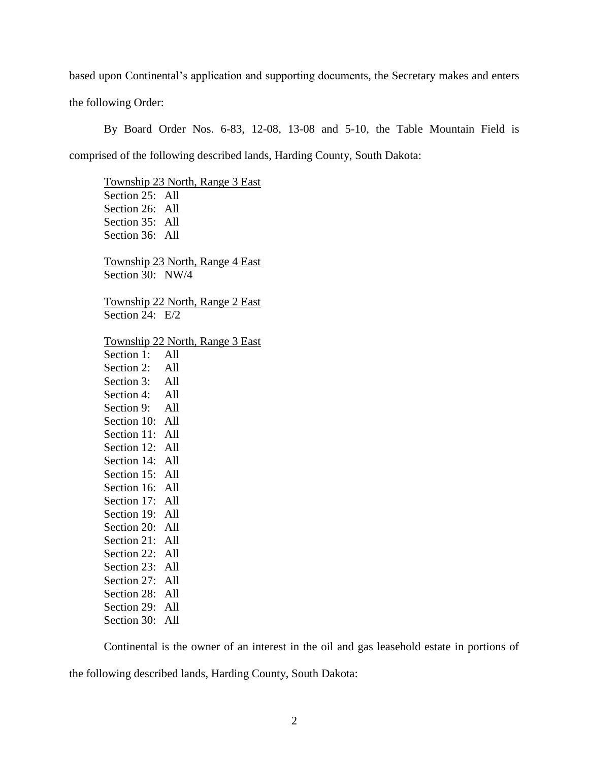based upon Continental's application and supporting documents, the Secretary makes and enters the following Order:

By Board Order Nos. 6-83, 12-08, 13-08 and 5-10, the Table Mountain Field is comprised of the following described lands, Harding County, South Dakota:

Township 23 North, Range 3 East Section 25: All Section 26: All Section 35: All Section 36: All Township 23 North, Range 4 East Section 30: NW/4 Township 22 North, Range 2 East Section 24: E/2 Township 22 North, Range 3 East Section 1: All Section 2: All Section 3: All Section 4: All Section 9: All Section 10: All Section 11: All Section 12: All Section 14: All Section 15: All Section 16: All Section 17: All Section 19: All Section 20: All Section 21: All Section 22: All Section 23: All Section 27: All Section 28: All Section 29: All Section 30: All

Continental is the owner of an interest in the oil and gas leasehold estate in portions of the following described lands, Harding County, South Dakota: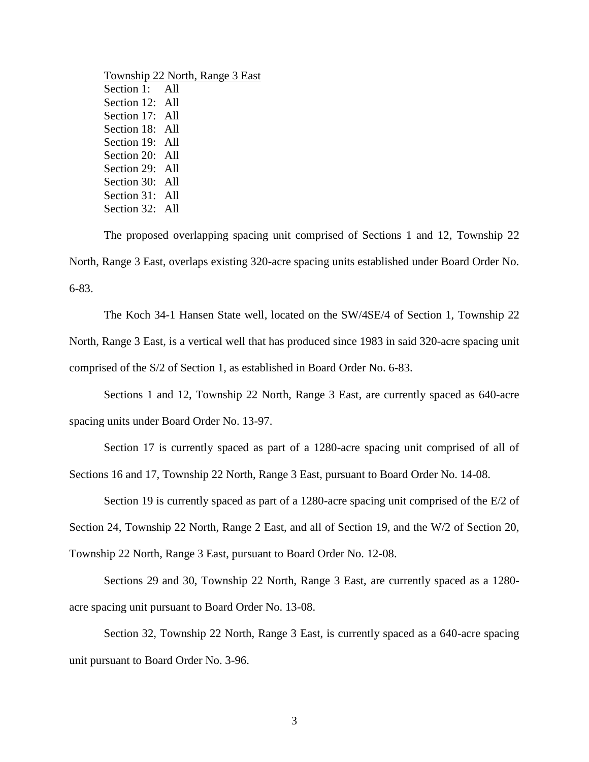| Township 22 North, Range 3 East |  |  |
|---------------------------------|--|--|
| Section 1: All                  |  |  |
| Section 12: All                 |  |  |
| Section 17: All                 |  |  |
| Section 18: All                 |  |  |
| Section 19: All                 |  |  |
| Section 20: All                 |  |  |
| Section 29: All                 |  |  |
| Section 30: All                 |  |  |
| Section 31: All                 |  |  |
| Section 32: All                 |  |  |

The proposed overlapping spacing unit comprised of Sections 1 and 12, Township 22 North, Range 3 East, overlaps existing 320-acre spacing units established under Board Order No. 6-83.

The Koch 34-1 Hansen State well, located on the SW/4SE/4 of Section 1, Township 22 North, Range 3 East, is a vertical well that has produced since 1983 in said 320-acre spacing unit comprised of the S/2 of Section 1, as established in Board Order No. 6-83.

Sections 1 and 12, Township 22 North, Range 3 East, are currently spaced as 640-acre spacing units under Board Order No. 13-97.

Section 17 is currently spaced as part of a 1280-acre spacing unit comprised of all of Sections 16 and 17, Township 22 North, Range 3 East, pursuant to Board Order No. 14-08.

Section 19 is currently spaced as part of a 1280-acre spacing unit comprised of the E/2 of

Section 24, Township 22 North, Range 2 East, and all of Section 19, and the W/2 of Section 20,

Township 22 North, Range 3 East, pursuant to Board Order No. 12-08.

Sections 29 and 30, Township 22 North, Range 3 East, are currently spaced as a 1280 acre spacing unit pursuant to Board Order No. 13-08.

Section 32, Township 22 North, Range 3 East, is currently spaced as a 640-acre spacing unit pursuant to Board Order No. 3-96.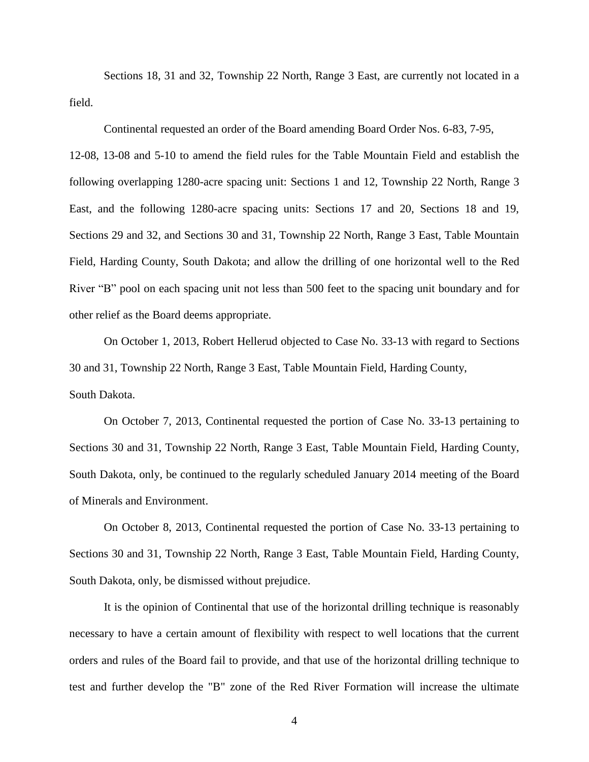Sections 18, 31 and 32, Township 22 North, Range 3 East, are currently not located in a field.

Continental requested an order of the Board amending Board Order Nos. 6-83, 7-95,

12-08, 13-08 and 5-10 to amend the field rules for the Table Mountain Field and establish the following overlapping 1280-acre spacing unit: Sections 1 and 12, Township 22 North, Range 3 East, and the following 1280-acre spacing units: Sections 17 and 20, Sections 18 and 19, Sections 29 and 32, and Sections 30 and 31, Township 22 North, Range 3 East, Table Mountain Field, Harding County, South Dakota; and allow the drilling of one horizontal well to the Red River "B" pool on each spacing unit not less than 500 feet to the spacing unit boundary and for other relief as the Board deems appropriate.

On October 1, 2013, Robert Hellerud objected to Case No. 33-13 with regard to Sections 30 and 31, Township 22 North, Range 3 East, Table Mountain Field, Harding County, South Dakota.

On October 7, 2013, Continental requested the portion of Case No. 33-13 pertaining to Sections 30 and 31, Township 22 North, Range 3 East, Table Mountain Field, Harding County, South Dakota, only, be continued to the regularly scheduled January 2014 meeting of the Board of Minerals and Environment.

On October 8, 2013, Continental requested the portion of Case No. 33-13 pertaining to Sections 30 and 31, Township 22 North, Range 3 East, Table Mountain Field, Harding County, South Dakota, only, be dismissed without prejudice.

It is the opinion of Continental that use of the horizontal drilling technique is reasonably necessary to have a certain amount of flexibility with respect to well locations that the current orders and rules of the Board fail to provide, and that use of the horizontal drilling technique to test and further develop the "B" zone of the Red River Formation will increase the ultimate